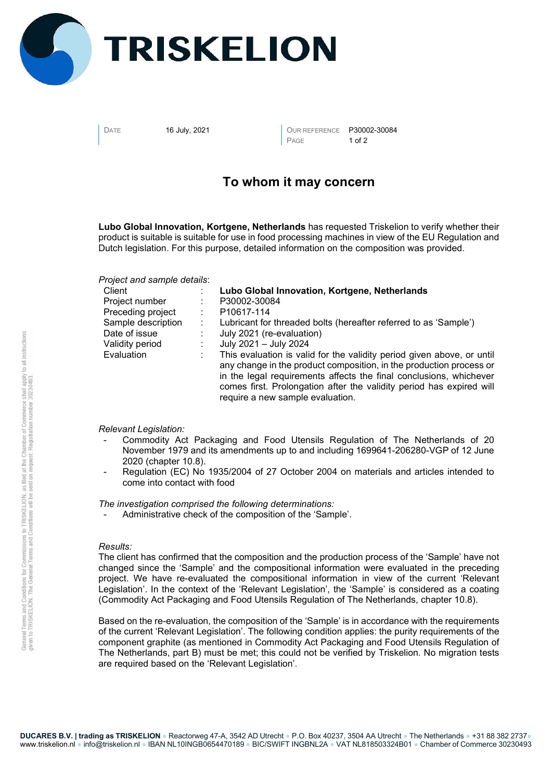

DATE 16 July, 2021 **OUR REFERENCE** P30002-30084 PAGE 1 of 2

## To whom it may concern

Lubo Global Innovation, Kortgene, Netherlands has requested Triskelion to verify whether their product is suitable is suitable for use in food processing machines in view of the EU Regulation and Dutch legislation. For this purpose, detailed information on the composition was provided.

Project and sample details:

| Client             | Lubo Global Innovation, Kortgene, Netherlands                                                                                                                                                                                                                                                                                   |
|--------------------|---------------------------------------------------------------------------------------------------------------------------------------------------------------------------------------------------------------------------------------------------------------------------------------------------------------------------------|
| Project number     | P30002-30084                                                                                                                                                                                                                                                                                                                    |
| Preceding project  | P <sub>10617-114</sub>                                                                                                                                                                                                                                                                                                          |
| Sample description | Lubricant for threaded bolts (hereafter referred to as 'Sample')                                                                                                                                                                                                                                                                |
| Date of issue      | July 2021 (re-evaluation)                                                                                                                                                                                                                                                                                                       |
| Validity period    | July 2021 - July 2024                                                                                                                                                                                                                                                                                                           |
| Evaluation         | This evaluation is valid for the validity period given above, or until<br>any change in the product composition, in the production process or<br>in the legal requirements affects the final conclusions, whichever<br>comes first. Prolongation after the validity period has expired will<br>require a new sample evaluation. |

## Relevant Legislation:

- Commodity Act Packaging and Food Utensils Regulation of The Netherlands of 20 November 1979 and its amendments up to and including 1699641-206280-VGP of 12 June 2020 (chapter 10.8).
- Regulation (EC) No 1935/2004 of 27 October 2004 on materials and articles intended to come into contact with food

The investigation comprised the following determinations:

- Administrative check of the composition of the 'Sample'.

## Results:

The client has confirmed that the composition and the production process of the 'Sample' have not changed since the 'Sample' and the compositional information were evaluated in the preceding project. We have re-evaluated the compositional information in view of the current 'Relevant Legislation'. In the context of the 'Relevant Legislation', the 'Sample' is considered as a coating (Commodity Act Packaging and Food Utensils Regulation of The Netherlands, chapter 10.8).

Based on the re-evaluation, the composition of the 'Sample' is in accordance with the requirements of the current 'Relevant Legislation'. The following condition applies: the purity requirements of the component graphite (as mentioned in Commodity Act Packaging and Food Utensils Regulation of The Netherlands, part B) must be met; this could not be verified by Triskelion. No migration tests are required based on the 'Relevant Legislation'.